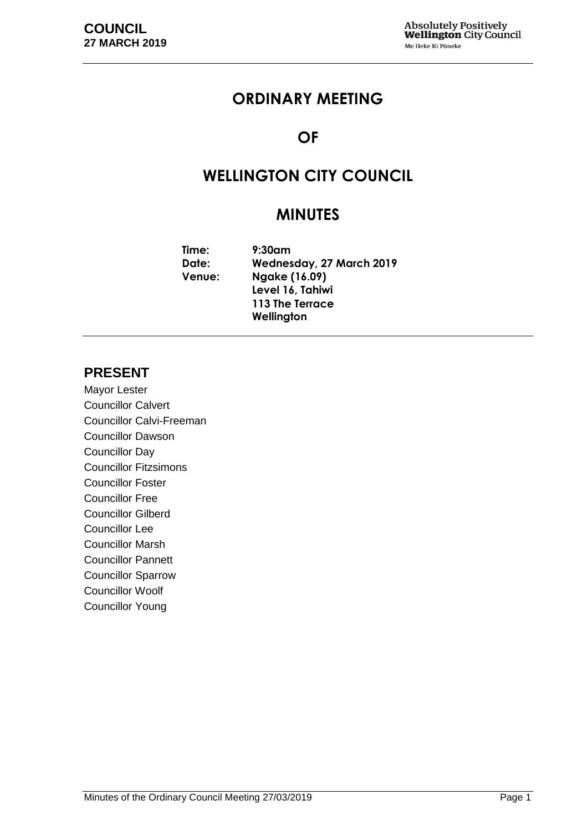# **ORDINARY MEETING**

# **OF**

# **WELLINGTON CITY COUNCIL**

# **MINUTES**

**Time: 9:30am Date: Wednesday, 27 March 2019 Venue: Ngake (16.09) Level 16, Tahiwi 113 The Terrace Wellington**

# **PRESENT**

Mayor Lester Councillor Calvert Councillor Calvi-Freeman Councillor Dawson Councillor Day Councillor Fitzsimons Councillor Foster Councillor Free Councillor Gilberd Councillor Lee Councillor Marsh Councillor Pannett Councillor Sparrow Councillor Woolf Councillor Young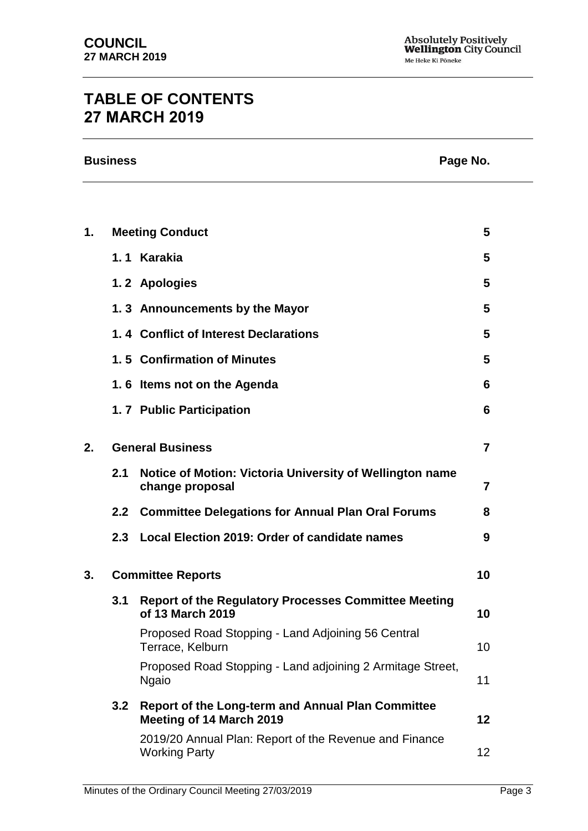# **TABLE OF CONTENTS 27 MARCH 2019**

| 1. |     | <b>Meeting Conduct</b>                                                         | 5               |
|----|-----|--------------------------------------------------------------------------------|-----------------|
|    |     | 1.1 Karakia                                                                    | 5               |
|    |     | 1.2 Apologies                                                                  | 5               |
|    |     | 1.3 Announcements by the Mayor                                                 | 5               |
|    |     | 1.4 Conflict of Interest Declarations                                          | 5               |
|    |     | 1.5 Confirmation of Minutes                                                    | 5               |
|    |     | 1.6 Items not on the Agenda                                                    | 6               |
|    |     | 1.7 Public Participation                                                       | 6               |
| 2. |     | <b>General Business</b>                                                        | 7               |
|    | 2.1 | Notice of Motion: Victoria University of Wellington name<br>change proposal    | 7               |
|    |     | 2.2 Committee Delegations for Annual Plan Oral Forums                          | 8               |
|    | 2.3 | Local Election 2019: Order of candidate names                                  | 9               |
| 3. |     | <b>Committee Reports</b>                                                       | 10              |
|    | 3.1 | Report of the Regulatory Processes Committee Meeting<br>of 13 March 2019       | 10              |
|    |     | Proposed Road Stopping - Land Adjoining 56 Central<br>Terrace, Kelburn         | 10              |
|    |     | Proposed Road Stopping - Land adjoining 2 Armitage Street,<br><b>Ngaio</b>     | 11              |
|    | 3.2 | Report of the Long-term and Annual Plan Committee<br>Meeting of 14 March 2019  | 12              |
|    |     | 2019/20 Annual Plan: Report of the Revenue and Finance<br><b>Working Party</b> | 12 <sub>2</sub> |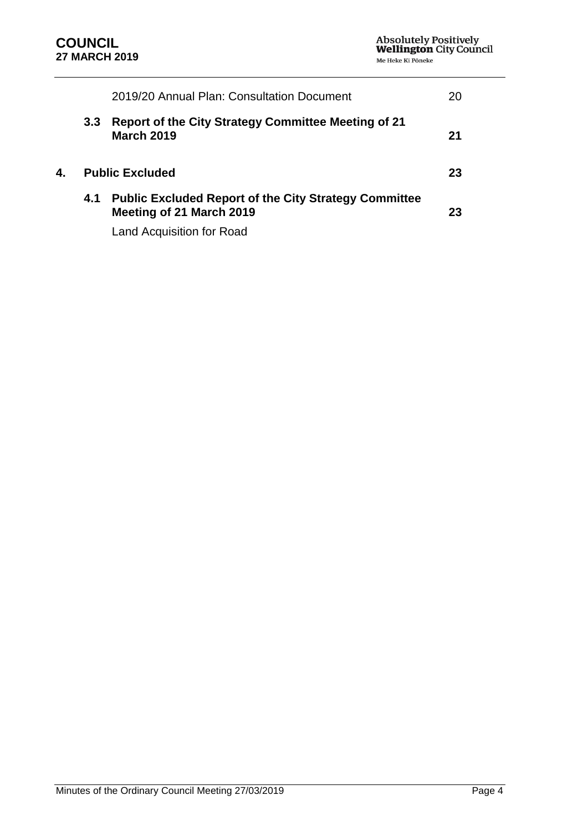|    |                  | 2019/20 Annual Plan: Consultation Document                                               |    |
|----|------------------|------------------------------------------------------------------------------------------|----|
|    | 3.3 <sub>2</sub> | <b>Report of the City Strategy Committee Meeting of 21</b><br><b>March 2019</b>          | 21 |
| 4. |                  | <b>Public Excluded</b>                                                                   | 23 |
|    | 4.1              | <b>Public Excluded Report of the City Strategy Committee</b><br>Meeting of 21 March 2019 | 23 |

Land Acquisition for Road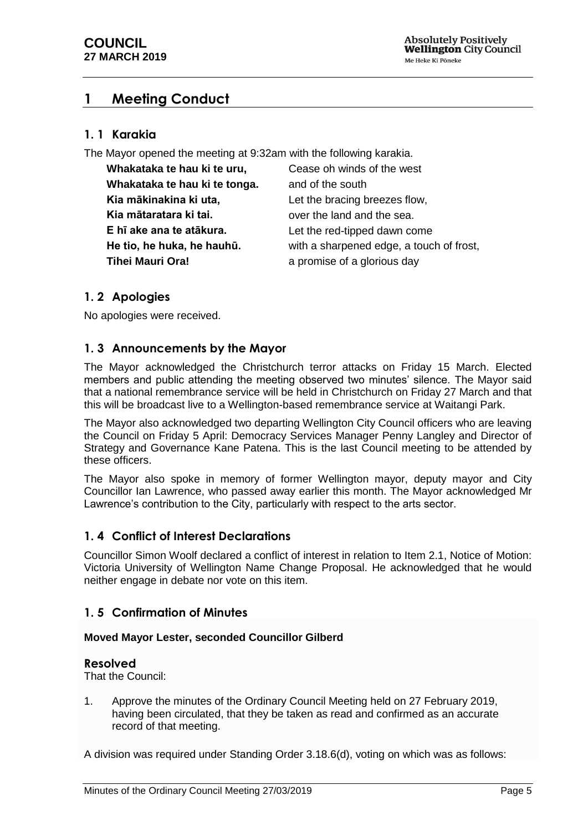# <span id="page-4-0"></span>**1 Meeting Conduct**

# **1. 1 Karakia**

The Mayor opened the meeting at 9:32am with the following karakia.

| Whakataka te hau ki te uru,   | Cease oh winds of the west               |
|-------------------------------|------------------------------------------|
| Whakataka te hau ki te tonga. | and of the south                         |
| Kia mākinakina ki uta,        | Let the bracing breezes flow,            |
| Kia mātaratara ki tai.        | over the land and the sea.               |
| E hī ake ana te atākura.      | Let the red-tipped dawn come             |
| He tio, he huka, he hauhū.    | with a sharpened edge, a touch of frost, |
| Tihei Mauri Ora!              | a promise of a glorious day              |

# <span id="page-4-1"></span>**1. 2 Apologies**

No apologies were received.

# <span id="page-4-2"></span>**1. 3 Announcements by the Mayor**

The Mayor acknowledged the Christchurch terror attacks on Friday 15 March. Elected members and public attending the meeting observed two minutes' silence. The Mayor said that a national remembrance service will be held in Christchurch on Friday 27 March and that this will be broadcast live to a Wellington-based remembrance service at Waitangi Park.

The Mayor also acknowledged two departing Wellington City Council officers who are leaving the Council on Friday 5 April: Democracy Services Manager Penny Langley and Director of Strategy and Governance Kane Patena. This is the last Council meeting to be attended by these officers.

The Mayor also spoke in memory of former Wellington mayor, deputy mayor and City Councillor Ian Lawrence, who passed away earlier this month. The Mayor acknowledged Mr Lawrence's contribution to the City, particularly with respect to the arts sector.

# <span id="page-4-3"></span>**1. 4 Conflict of Interest Declarations**

Councillor Simon Woolf declared a conflict of interest in relation to Item 2.1, Notice of Motion: Victoria University of Wellington Name Change Proposal. He acknowledged that he would neither engage in debate nor vote on this item.

# <span id="page-4-4"></span>**1. 5 Confirmation of Minutes**

## **Moved Mayor Lester, seconded Councillor Gilberd**

## **Resolved**

That the Council:

1. Approve the minutes of the Ordinary Council Meeting held on 27 February 2019, having been circulated, that they be taken as read and confirmed as an accurate record of that meeting.

A division was required under Standing Order 3.18.6(d), voting on which was as follows: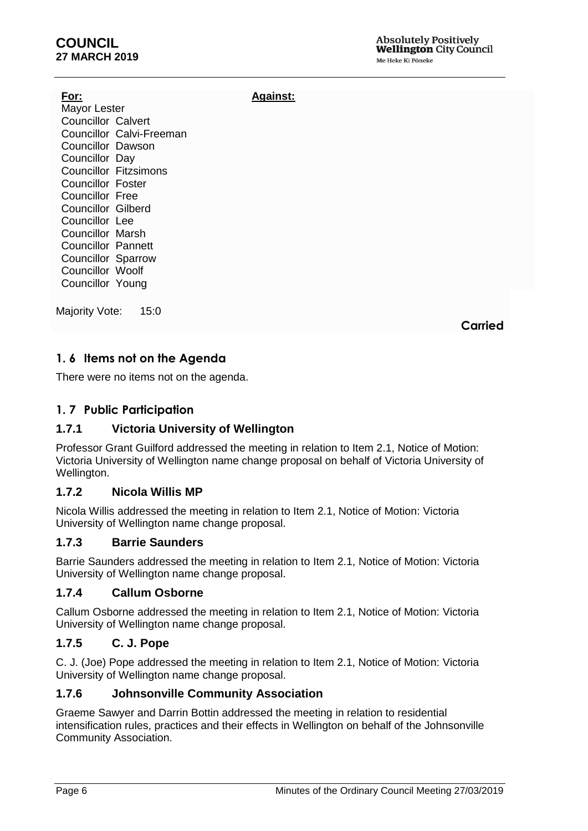# **COUNCIL 27 MARCH 2019**

**For:** Mayor Lester Councillor Calvert Councillor Calvi-Freeman Councillor Dawson Councillor Day Councillor Fitzsimons Councillor Foster Councillor Free Councillor Gilberd Councillor Lee Councillor Marsh Councillor Pannett Councillor Sparrow Councillor Woolf Councillor Young

Majority Vote: 15:0

**Carried**

# <span id="page-5-0"></span>**1. 6 Items not on the Agenda**

There were no items not on the agenda.

# <span id="page-5-1"></span>**1. 7 Public Participation**

# **1.7.1 Victoria University of Wellington**

Professor Grant Guilford addressed the meeting in relation to Item 2.1, Notice of Motion: Victoria University of Wellington name change proposal on behalf of Victoria University of Wellington.

**Against:**

# **1.7.2 Nicola Willis MP**

Nicola Willis addressed the meeting in relation to Item 2.1, Notice of Motion: Victoria University of Wellington name change proposal.

# **1.7.3 Barrie Saunders**

Barrie Saunders addressed the meeting in relation to Item 2.1, Notice of Motion: Victoria University of Wellington name change proposal.

# **1.7.4 Callum Osborne**

Callum Osborne addressed the meeting in relation to Item 2.1, Notice of Motion: Victoria University of Wellington name change proposal.

# **1.7.5 C. J. Pope**

C. J. (Joe) Pope addressed the meeting in relation to Item 2.1, Notice of Motion: Victoria University of Wellington name change proposal.

# **1.7.6 Johnsonville Community Association**

Graeme Sawyer and Darrin Bottin addressed the meeting in relation to residential intensification rules, practices and their effects in Wellington on behalf of the Johnsonville Community Association.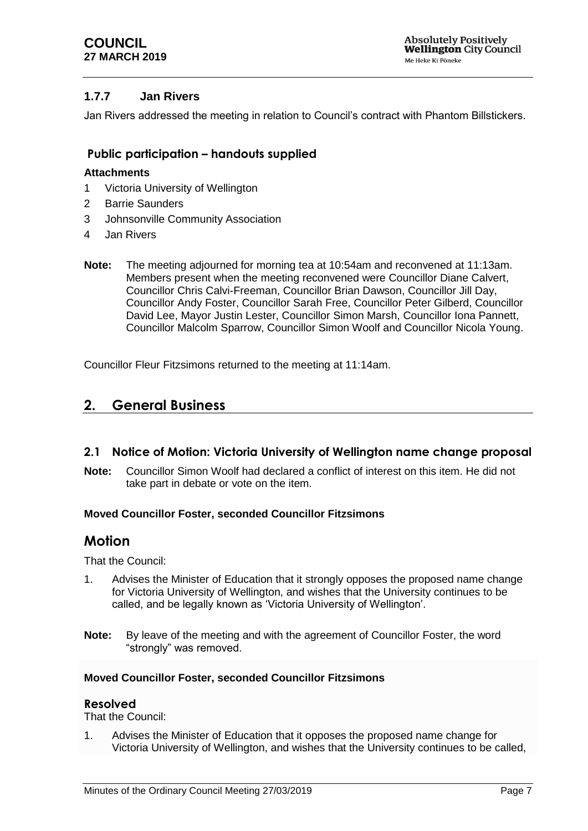# **1.7.7 Jan Rivers**

Jan Rivers addressed the meeting in relation to Council's contract with Phantom Billstickers.

# **Public participation – handouts supplied**

## **Attachments**

- 1 Victoria University of Wellington
- 2 Barrie Saunders
- 3 Johnsonville Community Association
- 4 Jan Rivers
- **Note:** The meeting adjourned for morning tea at 10:54am and reconvened at 11:13am. Members present when the meeting reconvened were Councillor Diane Calvert, Councillor Chris Calvi-Freeman, Councillor Brian Dawson, Councillor Jill Day, Councillor Andy Foster, Councillor Sarah Free, Councillor Peter Gilberd, Councillor David Lee, Mayor Justin Lester, Councillor Simon Marsh, Councillor Iona Pannett, Councillor Malcolm Sparrow, Councillor Simon Woolf and Councillor Nicola Young.

Councillor Fleur Fitzsimons returned to the meeting at 11:14am.

# <span id="page-6-0"></span>**2. General Business**

# <span id="page-6-1"></span>**2.1 Notice of Motion: Victoria University of Wellington name change proposal**

**Note:** Councillor Simon Woolf had declared a conflict of interest on this item. He did not take part in debate or vote on the item.

## **Moved Councillor Foster, seconded Councillor Fitzsimons**

# **Motion**

That the Council:

- 1. Advises the Minister of Education that it strongly opposes the proposed name change for Victoria University of Wellington, and wishes that the University continues to be called, and be legally known as 'Victoria University of Wellington'.
- **Note:** By leave of the meeting and with the agreement of Councillor Foster, the word "strongly" was removed.

## **Moved Councillor Foster, seconded Councillor Fitzsimons**

## **Resolved**

That the Council:

1. Advises the Minister of Education that it opposes the proposed name change for Victoria University of Wellington, and wishes that the University continues to be called,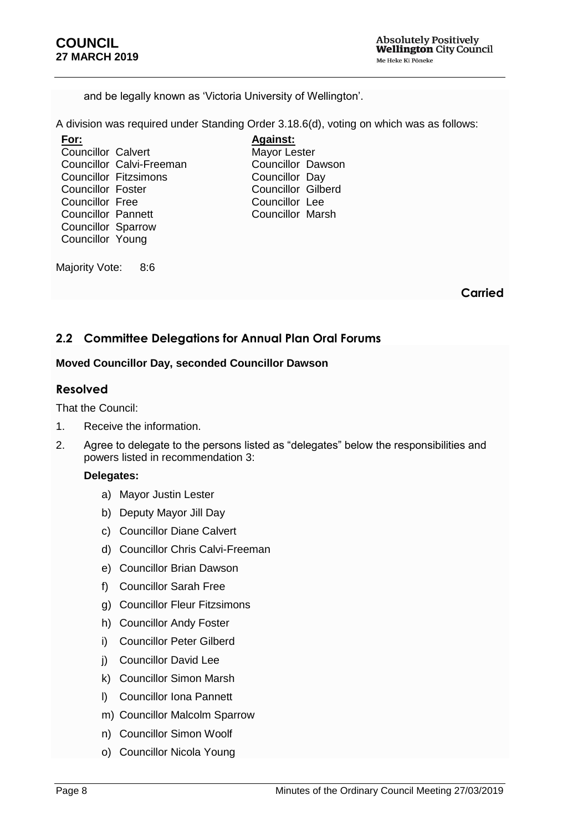and be legally known as 'Victoria University of Wellington'.

A division was required under Standing Order 3.18.6(d), voting on which was as follows:

**For:** Councillor Calvert Councillor Calvi-Freeman Councillor Fitzsimons Councillor Foster Councillor Free Councillor Pannett Councillor Sparrow Councillor Young

**Against:** Mayor Lester Councillor Dawson Councillor Day Councillor Gilberd Councillor Lee Councillor Marsh

Majority Vote: 8:6

**Carried**

# <span id="page-7-0"></span>**2.2 Committee Delegations for Annual Plan Oral Forums**

## **Moved Councillor Day, seconded Councillor Dawson**

# **Resolved**

That the Council:

- 1. Receive the information.
- 2. Agree to delegate to the persons listed as "delegates" below the responsibilities and powers listed in recommendation 3:

## **Delegates:**

- a) Mayor Justin Lester
- b) Deputy Mayor Jill Day
- c) Councillor Diane Calvert
- d) Councillor Chris Calvi-Freeman
- e) Councillor Brian Dawson
- f) Councillor Sarah Free
- g) Councillor Fleur Fitzsimons
- h) Councillor Andy Foster
- i) Councillor Peter Gilberd
- j) Councillor David Lee
- k) Councillor Simon Marsh
- l) Councillor Iona Pannett
- m) Councillor Malcolm Sparrow
- n) Councillor Simon Woolf
- o) Councillor Nicola Young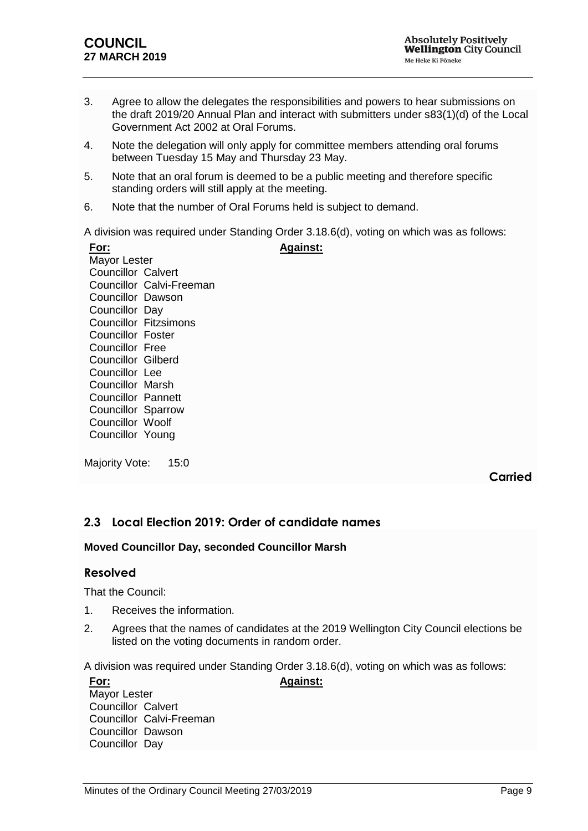- 3. Agree to allow the delegates the responsibilities and powers to hear submissions on the draft 2019/20 Annual Plan and interact with submitters under s83(1)(d) of the Local Government Act 2002 at Oral Forums.
- 4. Note the delegation will only apply for committee members attending oral forums between Tuesday 15 May and Thursday 23 May.
- 5. Note that an oral forum is deemed to be a public meeting and therefore specific standing orders will still apply at the meeting.
- 6. Note that the number of Oral Forums held is subject to demand.

A division was required under Standing Order 3.18.6(d), voting on which was as follows:

| For:                      | <b>Against:</b>              |
|---------------------------|------------------------------|
| <b>Mayor Lester</b>       |                              |
| <b>Councillor Calvert</b> |                              |
|                           | Councillor Calvi-Freeman     |
| Councillor Dawson         |                              |
| Councillor Day            |                              |
|                           | <b>Councillor Fitzsimons</b> |
| <b>Councillor Foster</b>  |                              |
| <b>Councillor Free</b>    |                              |
| <b>Councillor Gilberd</b> |                              |
| Councillor Lee            |                              |
| Councillor Marsh          |                              |
| <b>Councillor Pannett</b> |                              |
| <b>Councillor Sparrow</b> |                              |
| Councillor Woolf          |                              |
| Councillor Young          |                              |

Majority Vote: 15:0

# **Carried**

# <span id="page-8-0"></span>**2.3 Local Election 2019: Order of candidate names**

## **Moved Councillor Day, seconded Councillor Marsh**

## **Resolved**

That the Council:

- 1. Receives the information.
- 2. Agrees that the names of candidates at the 2019 Wellington City Council elections be listed on the voting documents in random order.

A division was required under Standing Order 3.18.6(d), voting on which was as follows:

| <u>For:</u>               | <b>Against:</b> |
|---------------------------|-----------------|
| <b>Mayor Lester</b>       |                 |
| <b>Councillor Calvert</b> |                 |
| Councillor Calvi-Freeman  |                 |
| <b>Councillor Dawson</b>  |                 |
| Councillor Day            |                 |
|                           |                 |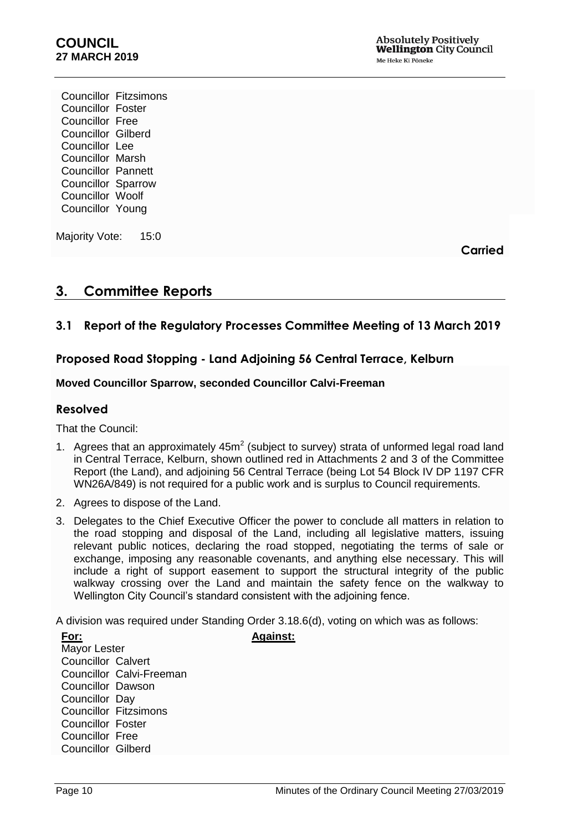Councillor Fitzsimons Councillor Foster Councillor Free Councillor Gilberd Councillor Lee Councillor Marsh Councillor Pannett Councillor Sparrow Councillor Woolf Councillor Young

Majority Vote: 15:0

**Carried**

# <span id="page-9-0"></span>**3. Committee Reports**

# <span id="page-9-1"></span>**3.1 Report of the Regulatory Processes Committee Meeting of 13 March 2019**

# **Proposed Road Stopping - Land Adjoining 56 Central Terrace, Kelburn**

## <span id="page-9-2"></span>**Moved Councillor Sparrow, seconded Councillor Calvi-Freeman**

## **Resolved**

That the Council:

- 1. Agrees that an approximately  $45m^2$  (subject to survey) strata of unformed legal road land in Central Terrace, Kelburn, shown outlined red in Attachments 2 and 3 of the Committee Report (the Land), and adjoining 56 Central Terrace (being Lot 54 Block IV DP 1197 CFR WN26A/849) is not required for a public work and is surplus to Council requirements.
- 2. Agrees to dispose of the Land.
- 3. Delegates to the Chief Executive Officer the power to conclude all matters in relation to the road stopping and disposal of the Land, including all legislative matters, issuing relevant public notices, declaring the road stopped, negotiating the terms of sale or exchange, imposing any reasonable covenants, and anything else necessary. This will include a right of support easement to support the structural integrity of the public walkway crossing over the Land and maintain the safety fence on the walkway to Wellington City Council's standard consistent with the adjoining fence.

A division was required under Standing Order 3.18.6(d), voting on which was as follows: **Against:**

| For:                      |                              |  |  |  |  |
|---------------------------|------------------------------|--|--|--|--|
|                           | Mayor Lester                 |  |  |  |  |
| <b>Councillor Calvert</b> |                              |  |  |  |  |
|                           | Councillor Calvi-Freeman     |  |  |  |  |
| Councillor Dawson         |                              |  |  |  |  |
| Councillor Day            |                              |  |  |  |  |
|                           | <b>Councillor Fitzsimons</b> |  |  |  |  |
| Councillor Foster         |                              |  |  |  |  |
| Councillor Free           |                              |  |  |  |  |
| <b>Councillor Gilberd</b> |                              |  |  |  |  |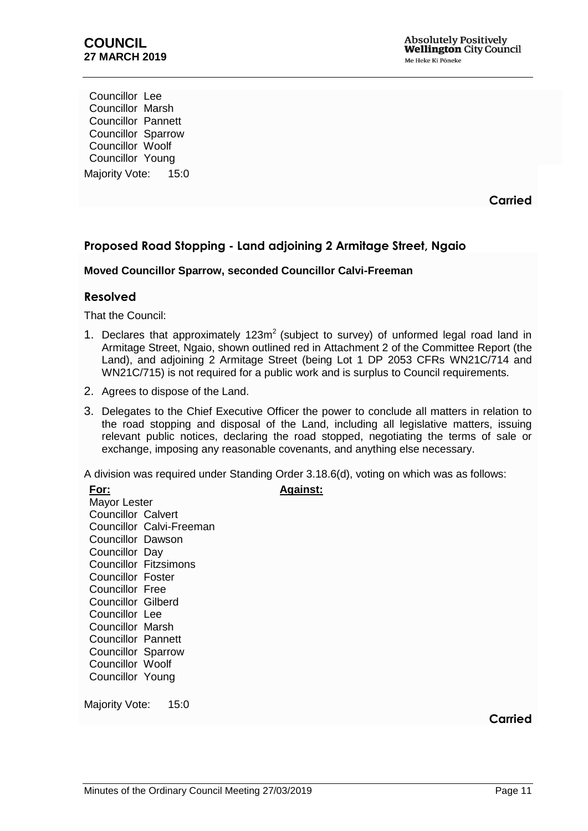Councillor Lee Councillor Marsh Councillor Pannett Councillor Sparrow Councillor Woolf Councillor Young Majority Vote: 15:0

**Carried**

# **Proposed Road Stopping - Land adjoining 2 Armitage Street, Ngaio**

## <span id="page-10-0"></span>**Moved Councillor Sparrow, seconded Councillor Calvi-Freeman**

## **Resolved**

That the Council:

- 1. Declares that approximately  $123m^2$  (subject to survey) of unformed legal road land in Armitage Street, Ngaio, shown outlined red in Attachment 2 of the Committee Report (the Land), and adjoining 2 Armitage Street (being Lot 1 DP 2053 CFRs WN21C/714 and WN21C/715) is not required for a public work and is surplus to Council requirements.
- 2. Agrees to dispose of the Land.
- 3. Delegates to the Chief Executive Officer the power to conclude all matters in relation to the road stopping and disposal of the Land, including all legislative matters, issuing relevant public notices, declaring the road stopped, negotiating the terms of sale or exchange, imposing any reasonable covenants, and anything else necessary.

A division was required under Standing Order 3.18.6(d), voting on which was as follows:

**Against:**

| For:                      |                          |
|---------------------------|--------------------------|
| Mayor Lester              |                          |
| <b>Councillor Calvert</b> |                          |
|                           | Councillor Calvi-Freeman |
| Councillor Dawson         |                          |
| Councillor Day            |                          |
|                           | Councillor Fitzsimons    |
| <b>Councillor Foster</b>  |                          |
| Councillor Free           |                          |
| <b>Councillor Gilberd</b> |                          |
| Councillor Lee            |                          |
| Councillor Marsh          |                          |
| Councillor Pannett        |                          |
| <b>Councillor Sparrow</b> |                          |
| <b>Councillor Woolf</b>   |                          |
| Councillor Young          |                          |
|                           |                          |

Majority Vote: 15:0

**Carried**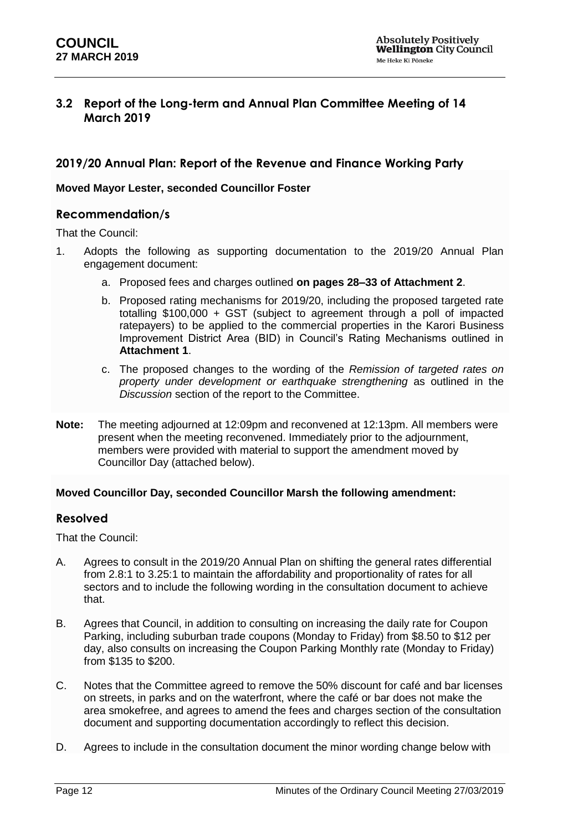# <span id="page-11-0"></span>**3.2 Report of the Long-term and Annual Plan Committee Meeting of 14 March 2019**

## **2019/20 Annual Plan: Report of the Revenue and Finance Working Party**

#### <span id="page-11-1"></span>**Moved Mayor Lester, seconded Councillor Foster**

## **Recommendation/s**

That the Council:

- 1. Adopts the following as supporting documentation to the 2019/20 Annual Plan engagement document:
	- a. Proposed fees and charges outlined **on pages 28–33 of Attachment 2**.
	- b. Proposed rating mechanisms for 2019/20, including the proposed targeted rate totalling \$100,000 + GST (subject to agreement through a poll of impacted ratepayers) to be applied to the commercial properties in the Karori Business Improvement District Area (BID) in Council's Rating Mechanisms outlined in **Attachment 1**.
	- c. The proposed changes to the wording of the *Remission of targeted rates on property under development or earthquake strengthening* as outlined in the *Discussion* section of the report to the Committee.
- **Note:** The meeting adjourned at 12:09pm and reconvened at 12:13pm. All members were present when the meeting reconvened. Immediately prior to the adjournment, members were provided with material to support the amendment moved by Councillor Day (attached below).

## **Moved Councillor Day, seconded Councillor Marsh the following amendment:**

## **Resolved**

That the Council:

- A. Agrees to consult in the 2019/20 Annual Plan on shifting the general rates differential from 2.8:1 to 3.25:1 to maintain the affordability and proportionality of rates for all sectors and to include the following wording in the consultation document to achieve that.
- B. Agrees that Council, in addition to consulting on increasing the daily rate for Coupon Parking, including suburban trade coupons (Monday to Friday) from \$8.50 to \$12 per day, also consults on increasing the Coupon Parking Monthly rate (Monday to Friday) from \$135 to \$200.
- C. Notes that the Committee agreed to remove the 50% discount for café and bar licenses on streets, in parks and on the waterfront, where the café or bar does not make the area smokefree, and agrees to amend the fees and charges section of the consultation document and supporting documentation accordingly to reflect this decision.
- D. Agrees to include in the consultation document the minor wording change below with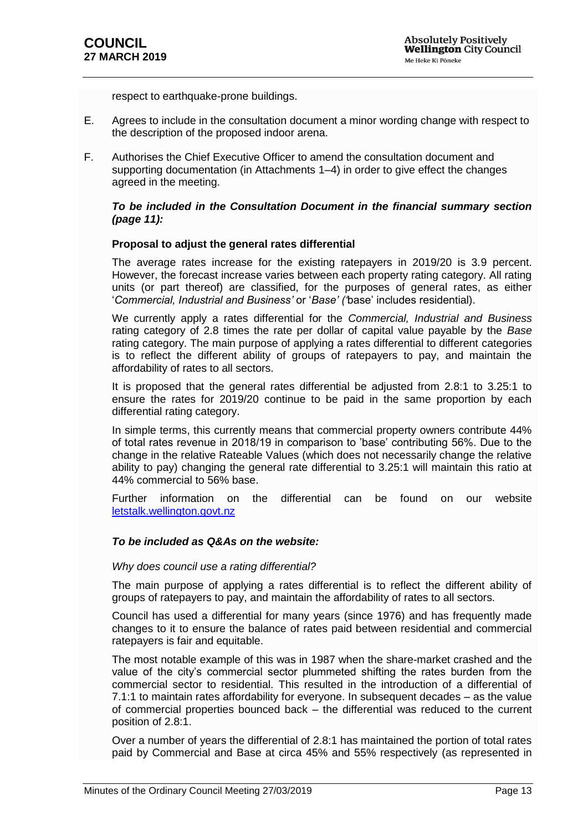respect to earthquake-prone buildings.

- E. Agrees to include in the consultation document a minor wording change with respect to the description of the proposed indoor arena.
- F. Authorises the Chief Executive Officer to amend the consultation document and supporting documentation (in Attachments 1–4) in order to give effect the changes agreed in the meeting.

#### *To be included in the Consultation Document in the financial summary section (page 11):*

#### **Proposal to adjust the general rates differential**

The average rates increase for the existing ratepayers in 2019/20 is 3.9 percent. However, the forecast increase varies between each property rating category. All rating units (or part thereof) are classified, for the purposes of general rates, as either '*Commercial, Industrial and Business'* or '*Base' ('*base' includes residential).

We currently apply a rates differential for the *Commercial, Industrial and Business*  rating category of 2.8 times the rate per dollar of capital value payable by the *Base* rating category. The main purpose of applying a rates differential to different categories is to reflect the different ability of groups of ratepayers to pay, and maintain the affordability of rates to all sectors.

It is proposed that the general rates differential be adjusted from 2.8:1 to 3.25:1 to ensure the rates for 2019/20 continue to be paid in the same proportion by each differential rating category.

In simple terms, this currently means that commercial property owners contribute 44% of total rates revenue in 2018/19 in comparison to 'base' contributing 56%. Due to the change in the relative Rateable Values (which does not necessarily change the relative ability to pay) changing the general rate differential to 3.25:1 will maintain this ratio at 44% commercial to 56% base.

Further information on the differential can be found on our website [letstalk.wellington.govt.nz](file:///C:/Users/Tong2r/AppData/Roaming/OpenText/OTEdit/EC_wccecm/c24038230/letstalk.wellington.govt.nz)

#### *To be included as Q&As on the website:*

#### *Why does council use a rating differential?*

The main purpose of applying a rates differential is to reflect the different ability of groups of ratepayers to pay, and maintain the affordability of rates to all sectors.

Council has used a differential for many years (since 1976) and has frequently made changes to it to ensure the balance of rates paid between residential and commercial ratepayers is fair and equitable.

The most notable example of this was in 1987 when the share-market crashed and the value of the city's commercial sector plummeted shifting the rates burden from the commercial sector to residential. This resulted in the introduction of a differential of 7.1:1 to maintain rates affordability for everyone. In subsequent decades – as the value of commercial properties bounced back – the differential was reduced to the current position of 2.8:1.

Over a number of years the differential of 2.8:1 has maintained the portion of total rates paid by Commercial and Base at circa 45% and 55% respectively (as represented in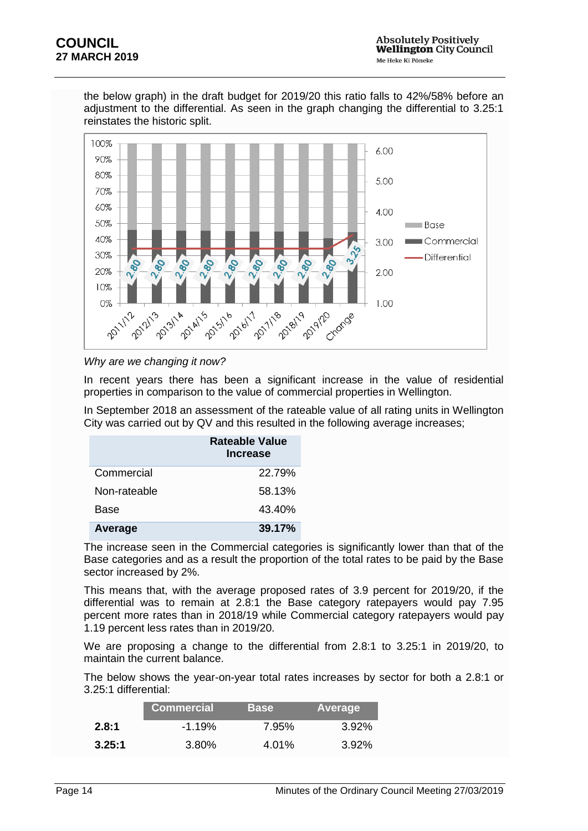

the below graph) in the draft budget for 2019/20 this ratio falls to 42%/58% before an adjustment to the differential. As seen in the graph changing the differential to 3.25:1 reinstates the historic split.

#### *Why are we changing it now?*

In recent years there has been a significant increase in the value of residential properties in comparison to the value of commercial properties in Wellington.

In September 2018 an assessment of the rateable value of all rating units in Wellington City was carried out by QV and this resulted in the following average increases;

|              | Rateable Value<br><b>Increase</b> |
|--------------|-----------------------------------|
| Commercial   | 22.79%                            |
| Non-rateable | 58.13%                            |
| Base         | 43.40%                            |
| Average      | 39.17%                            |

The increase seen in the Commercial categories is significantly lower than that of the Base categories and as a result the proportion of the total rates to be paid by the Base sector increased by 2%.

This means that, with the average proposed rates of 3.9 percent for 2019/20, if the differential was to remain at 2.8:1 the Base category ratepayers would pay 7.95 percent more rates than in 2018/19 while Commercial category ratepayers would pay 1.19 percent less rates than in 2019/20.

We are proposing a change to the differential from 2.8:1 to 3.25:1 in 2019/20, to maintain the current balance.

The below shows the year-on-year total rates increases by sector for both a 2.8:1 or 3.25:1 differential:

|        | <b>Commercial</b> | <b>Base</b> | Average  |
|--------|-------------------|-------------|----------|
| 2.8:1  | $-1.19%$          | 7.95%       | $3.92\%$ |
| 3.25:1 | 3.80%             | 4.01%       | $3.92\%$ |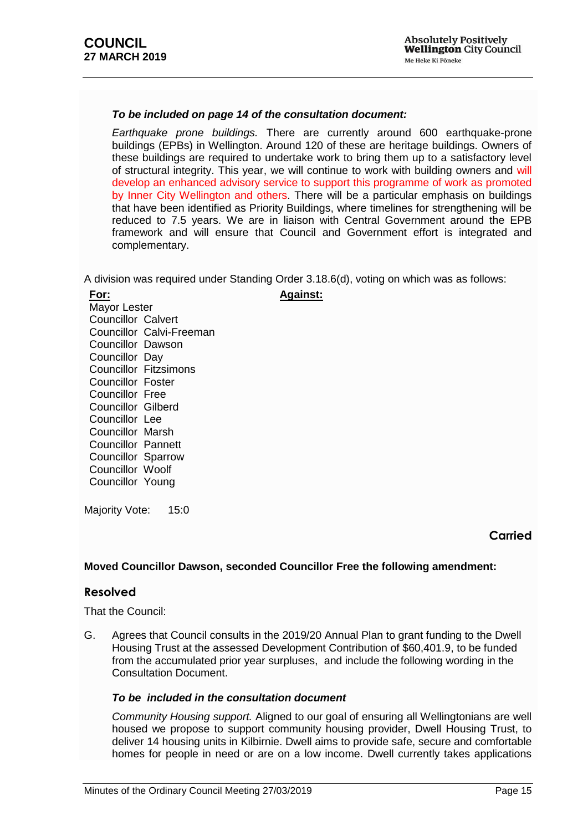#### *To be included on page 14 of the consultation document:*

*Earthquake prone buildings.* There are currently around 600 earthquake-prone buildings (EPBs) in Wellington. Around 120 of these are heritage buildings. Owners of these buildings are required to undertake work to bring them up to a satisfactory level of structural integrity. This year, we will continue to work with building owners and will develop an enhanced advisory service to support this programme of work as promoted by Inner City Wellington and others. There will be a particular emphasis on buildings that have been identified as Priority Buildings, where timelines for strengthening will be reduced to 7.5 years. We are in liaison with Central Government around the EPB framework and will ensure that Council and Government effort is integrated and complementary.

A division was required under Standing Order 3.18.6(d), voting on which was as follows:

**Against:**

#### **For:**

Mayor Lester Councillor Calvert Councillor Calvi-Freeman Councillor Dawson Councillor Day Councillor Fitzsimons Councillor Foster Councillor Free Councillor Gilberd Councillor Lee Councillor Marsh Councillor Pannett Councillor Sparrow Councillor Woolf Councillor Young

Majority Vote: 15:0

# **Carried**

## **Moved Councillor Dawson, seconded Councillor Free the following amendment:**

## **Resolved**

That the Council:

G. Agrees that Council consults in the 2019/20 Annual Plan to grant funding to the Dwell Housing Trust at the assessed Development Contribution of \$60,401.9, to be funded from the accumulated prior year surpluses, and include the following wording in the Consultation Document.

## *To be included in the consultation document*

*Community Housing support.* Aligned to our goal of ensuring all Wellingtonians are well housed we propose to support community housing provider, Dwell Housing Trust, to deliver 14 housing units in Kilbirnie. Dwell aims to provide safe, secure and comfortable homes for people in need or are on a low income. Dwell currently takes applications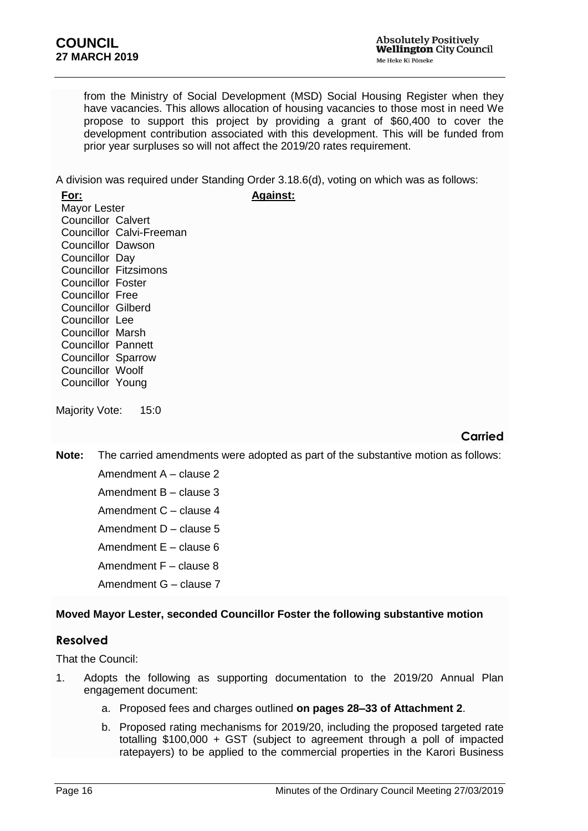from the Ministry of Social Development (MSD) Social Housing Register when they have vacancies. This allows allocation of housing vacancies to those most in need We propose to support this project by providing a grant of \$60,400 to cover the development contribution associated with this development. This will be funded from prior year surpluses so will not affect the 2019/20 rates requirement.

A division was required under Standing Order 3.18.6(d), voting on which was as follows: **Against:**

**For:** Mayor Lester Councillor Calvert Councillor Calvi-Freeman Councillor Dawson Councillor Day Councillor Fitzsimons Councillor Foster Councillor Free Councillor Gilberd Councillor Lee Councillor Marsh Councillor Pannett Councillor Sparrow Councillor Woolf Councillor Young

Majority Vote: 15:0

# **Carried**

**Note:** The carried amendments were adopted as part of the substantive motion as follows:

- Amendment A clause 2 Amendment B – clause 3 Amendment C – clause 4 Amendment D – clause 5 Amendment E – clause 6 Amendment F – clause 8
- Amendment G clause 7

# **Moved Mayor Lester, seconded Councillor Foster the following substantive motion**

# **Resolved**

That the Council:

- 1. Adopts the following as supporting documentation to the 2019/20 Annual Plan engagement document:
	- a. Proposed fees and charges outlined **on pages 28–33 of Attachment 2**.
	- b. Proposed rating mechanisms for 2019/20, including the proposed targeted rate totalling \$100,000 + GST (subject to agreement through a poll of impacted ratepayers) to be applied to the commercial properties in the Karori Business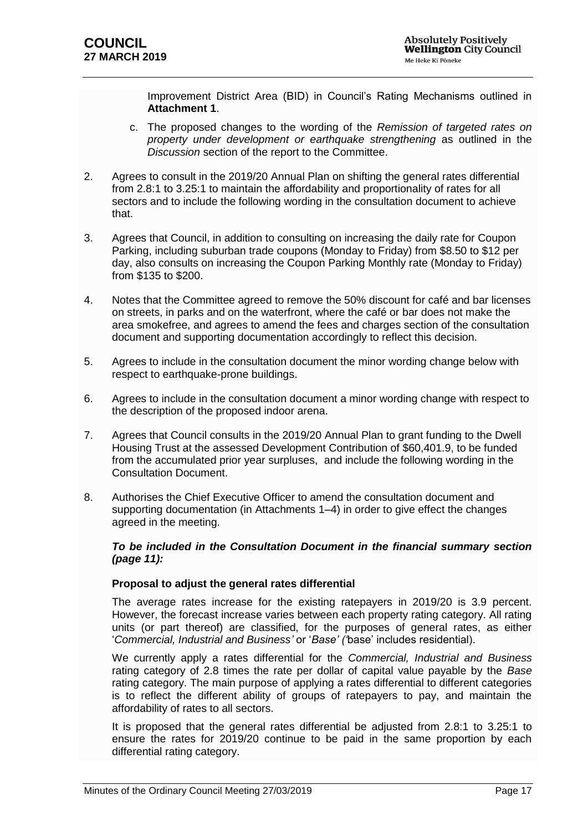Improvement District Area (BID) in Council's Rating Mechanisms outlined in **Attachment 1**.

- c. The proposed changes to the wording of the *Remission of targeted rates on property under development or earthquake strengthening* as outlined in the *Discussion* section of the report to the Committee.
- 2. Agrees to consult in the 2019/20 Annual Plan on shifting the general rates differential from 2.8:1 to 3.25:1 to maintain the affordability and proportionality of rates for all sectors and to include the following wording in the consultation document to achieve that.
- 3. Agrees that Council, in addition to consulting on increasing the daily rate for Coupon Parking, including suburban trade coupons (Monday to Friday) from \$8.50 to \$12 per day, also consults on increasing the Coupon Parking Monthly rate (Monday to Friday) from \$135 to \$200.
- 4. Notes that the Committee agreed to remove the 50% discount for café and bar licenses on streets, in parks and on the waterfront, where the café or bar does not make the area smokefree, and agrees to amend the fees and charges section of the consultation document and supporting documentation accordingly to reflect this decision.
- 5. Agrees to include in the consultation document the minor wording change below with respect to earthquake-prone buildings.
- 6. Agrees to include in the consultation document a minor wording change with respect to the description of the proposed indoor arena.
- 7. Agrees that Council consults in the 2019/20 Annual Plan to grant funding to the Dwell Housing Trust at the assessed Development Contribution of \$60,401.9, to be funded from the accumulated prior year surpluses, and include the following wording in the Consultation Document.
- 8. Authorises the Chief Executive Officer to amend the consultation document and supporting documentation (in Attachments 1–4) in order to give effect the changes agreed in the meeting.

## *To be included in the Consultation Document in the financial summary section (page 11):*

## **Proposal to adjust the general rates differential**

The average rates increase for the existing ratepayers in 2019/20 is 3.9 percent. However, the forecast increase varies between each property rating category. All rating units (or part thereof) are classified, for the purposes of general rates, as either '*Commercial, Industrial and Business'* or '*Base' ('*base' includes residential).

We currently apply a rates differential for the *Commercial, Industrial and Business*  rating category of 2.8 times the rate per dollar of capital value payable by the *Base* rating category. The main purpose of applying a rates differential to different categories is to reflect the different ability of groups of ratepayers to pay, and maintain the affordability of rates to all sectors.

It is proposed that the general rates differential be adjusted from 2.8:1 to 3.25:1 to ensure the rates for 2019/20 continue to be paid in the same proportion by each differential rating category.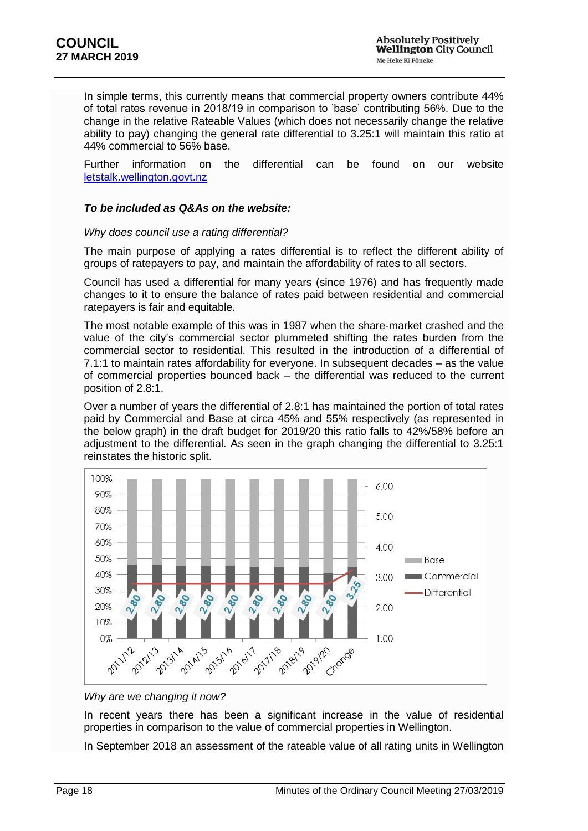In simple terms, this currently means that commercial property owners contribute 44% of total rates revenue in 2018/19 in comparison to 'base' contributing 56%. Due to the change in the relative Rateable Values (which does not necessarily change the relative ability to pay) changing the general rate differential to 3.25:1 will maintain this ratio at 44% commercial to 56% base.

Further information on the differential can be found on our website [letstalk.wellington.govt.nz](file:///C:/Users/Tong2r/AppData/Roaming/OpenText/OTEdit/EC_wccecm/c24038230/letstalk.wellington.govt.nz)

#### *To be included as Q&As on the website:*

#### *Why does council use a rating differential?*

The main purpose of applying a rates differential is to reflect the different ability of groups of ratepayers to pay, and maintain the affordability of rates to all sectors.

Council has used a differential for many years (since 1976) and has frequently made changes to it to ensure the balance of rates paid between residential and commercial ratepayers is fair and equitable.

The most notable example of this was in 1987 when the share-market crashed and the value of the city's commercial sector plummeted shifting the rates burden from the commercial sector to residential. This resulted in the introduction of a differential of 7.1:1 to maintain rates affordability for everyone. In subsequent decades – as the value of commercial properties bounced back – the differential was reduced to the current position of 2.8:1.

Over a number of years the differential of 2.8:1 has maintained the portion of total rates paid by Commercial and Base at circa 45% and 55% respectively (as represented in the below graph) in the draft budget for 2019/20 this ratio falls to 42%/58% before an adjustment to the differential. As seen in the graph changing the differential to 3.25:1 reinstates the historic split.



#### *Why are we changing it now?*

In recent years there has been a significant increase in the value of residential properties in comparison to the value of commercial properties in Wellington.

In September 2018 an assessment of the rateable value of all rating units in Wellington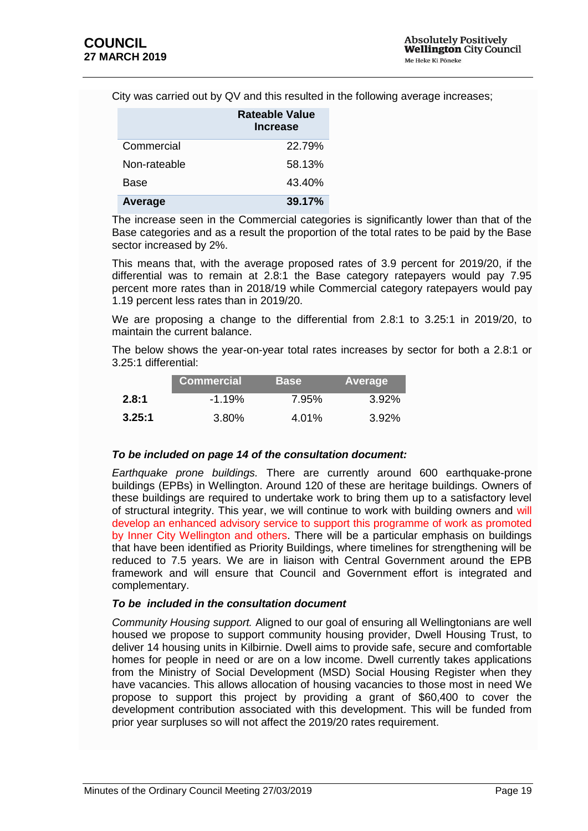City was carried out by QV and this resulted in the following average increases;

|              | Rateable Value<br><b>Increase</b> |
|--------------|-----------------------------------|
| Commercial   | 22.79%                            |
| Non-rateable | 58.13%                            |
| <b>Base</b>  | 43.40%                            |
| Average      | 39.17%                            |

The increase seen in the Commercial categories is significantly lower than that of the Base categories and as a result the proportion of the total rates to be paid by the Base sector increased by 2%.

This means that, with the average proposed rates of 3.9 percent for 2019/20, if the differential was to remain at 2.8:1 the Base category ratepayers would pay 7.95 percent more rates than in 2018/19 while Commercial category ratepayers would pay 1.19 percent less rates than in 2019/20.

We are proposing a change to the differential from 2.8:1 to 3.25:1 in 2019/20, to maintain the current balance.

The below shows the year-on-year total rates increases by sector for both a 2.8:1 or 3.25:1 differential:

|        | <b>Commercial</b> | <b>Base</b> | Average  |
|--------|-------------------|-------------|----------|
| 2.8:1  | $-1.19\%$         | 7.95%       | $3.92\%$ |
| 3.25:1 | 3.80%             | 4.01%       | $3.92\%$ |

## *To be included on page 14 of the consultation document:*

*Earthquake prone buildings.* There are currently around 600 earthquake-prone buildings (EPBs) in Wellington. Around 120 of these are heritage buildings. Owners of these buildings are required to undertake work to bring them up to a satisfactory level of structural integrity. This year, we will continue to work with building owners and will develop an enhanced advisory service to support this programme of work as promoted by Inner City Wellington and others. There will be a particular emphasis on buildings that have been identified as Priority Buildings, where timelines for strengthening will be reduced to 7.5 years. We are in liaison with Central Government around the EPB framework and will ensure that Council and Government effort is integrated and complementary.

#### *To be included in the consultation document*

*Community Housing support.* Aligned to our goal of ensuring all Wellingtonians are well housed we propose to support community housing provider, Dwell Housing Trust, to deliver 14 housing units in Kilbirnie. Dwell aims to provide safe, secure and comfortable homes for people in need or are on a low income. Dwell currently takes applications from the Ministry of Social Development (MSD) Social Housing Register when they have vacancies. This allows allocation of housing vacancies to those most in need We propose to support this project by providing a grant of \$60,400 to cover the development contribution associated with this development. This will be funded from prior year surpluses so will not affect the 2019/20 rates requirement.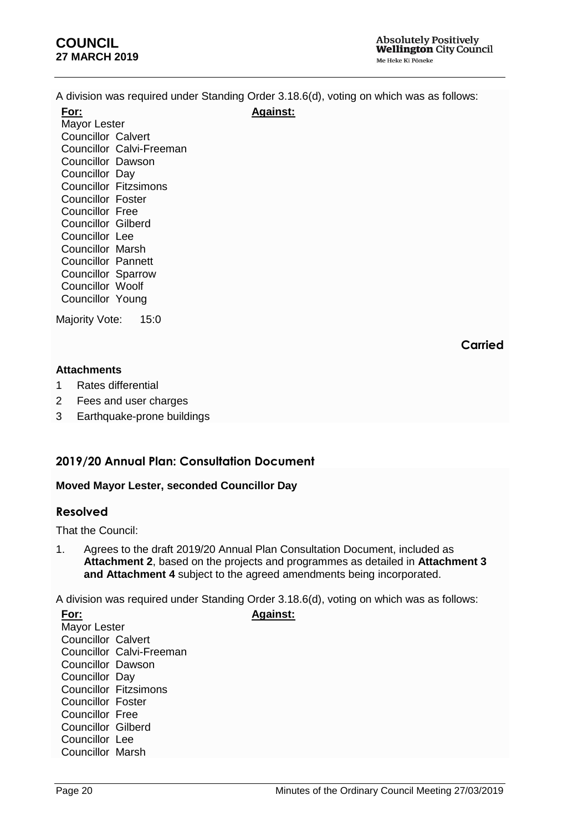A division was required under Standing Order 3.18.6(d), voting on which was as follows:

**Against:**

**For:** Mayor Lester Councillor Calvert Councillor Calvi-Freeman Councillor Dawson Councillor Day Councillor Fitzsimons Councillor Foster Councillor Free Councillor Gilberd Councillor Lee Councillor Marsh Councillor Pannett Councillor Sparrow Councillor Woolf Councillor Young

Majority Vote: 15:0

**Carried**

## **Attachments**

- 1 Rates differential
- 2 Fees and user charges
- 3 Earthquake-prone buildings

# **2019/20 Annual Plan: Consultation Document**

## <span id="page-19-0"></span>**Moved Mayor Lester, seconded Councillor Day**

# **Resolved**

That the Council:

1. Agrees to the draft 2019/20 Annual Plan Consultation Document, included as **Attachment 2**, based on the projects and programmes as detailed in **Attachment 3 and Attachment 4** subject to the agreed amendments being incorporated.

A division was required under Standing Order 3.18.6(d), voting on which was as follows: **Against:**

**For:** Mayor Lester Councillor Calvert Councillor Calvi-Freeman Councillor Dawson Councillor Day Councillor Fitzsimons Councillor Foster Councillor Free Councillor Gilberd Councillor Lee Councillor Marsh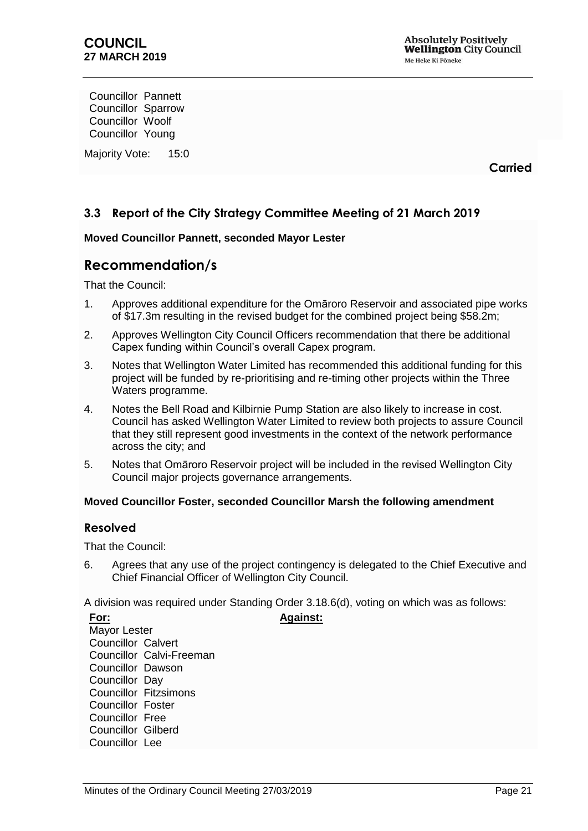Councillor Pannett Councillor Sparrow Councillor Woolf Councillor Young

Majority Vote: 15:0

**Carried**

# <span id="page-20-0"></span>**3.3 Report of the City Strategy Committee Meeting of 21 March 2019**

## **Moved Councillor Pannett, seconded Mayor Lester**

# **Recommendation/s**

That the Council:

- 1. Approves additional expenditure for the Omāroro Reservoir and associated pipe works of \$17.3m resulting in the revised budget for the combined project being \$58.2m;
- 2. Approves Wellington City Council Officers recommendation that there be additional Capex funding within Council's overall Capex program.
- 3. Notes that Wellington Water Limited has recommended this additional funding for this project will be funded by re-prioritising and re-timing other projects within the Three Waters programme.
- 4. Notes the Bell Road and Kilbirnie Pump Station are also likely to increase in cost. Council has asked Wellington Water Limited to review both projects to assure Council that they still represent good investments in the context of the network performance across the city; and
- 5. Notes that Omāroro Reservoir project will be included in the revised Wellington City Council major projects governance arrangements.

## **Moved Councillor Foster, seconded Councillor Marsh the following amendment**

## **Resolved**

**For:**

That the Council:

6. Agrees that any use of the project contingency is delegated to the Chief Executive and Chief Financial Officer of Wellington City Council.

A division was required under Standing Order 3.18.6(d), voting on which was as follows:

**Against:**

Mayor Lester Councillor Calvert Councillor Calvi-Freeman Councillor Dawson Councillor Day Councillor Fitzsimons Councillor Foster Councillor Free Councillor Gilberd Councillor Lee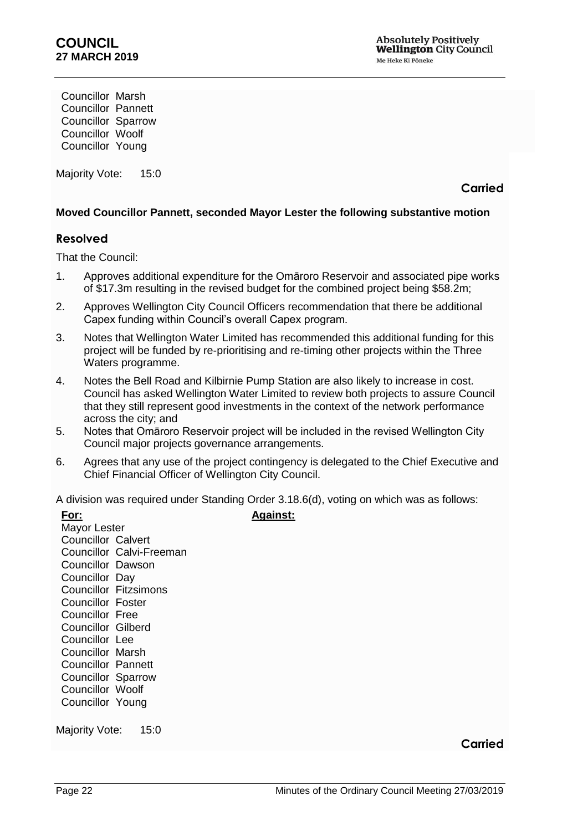Councillor Marsh Councillor Pannett Councillor Sparrow Councillor Woolf Councillor Young

Majority Vote: 15:0

**Carried**

## **Moved Councillor Pannett, seconded Mayor Lester the following substantive motion**

## **Resolved**

That the Council:

- 1. Approves additional expenditure for the Omāroro Reservoir and associated pipe works of \$17.3m resulting in the revised budget for the combined project being \$58.2m;
- 2. Approves Wellington City Council Officers recommendation that there be additional Capex funding within Council's overall Capex program.
- 3. Notes that Wellington Water Limited has recommended this additional funding for this project will be funded by re-prioritising and re-timing other projects within the Three Waters programme.
- 4. Notes the Bell Road and Kilbirnie Pump Station are also likely to increase in cost. Council has asked Wellington Water Limited to review both projects to assure Council that they still represent good investments in the context of the network performance across the city; and
- 5. Notes that Omāroro Reservoir project will be included in the revised Wellington City Council major projects governance arrangements.
- 6. Agrees that any use of the project contingency is delegated to the Chief Executive and Chief Financial Officer of Wellington City Council.

A division was required under Standing Order 3.18.6(d), voting on which was as follows:

**Against:**

| For:                      |                              |  |  |  |
|---------------------------|------------------------------|--|--|--|
| Mayor Lester              |                              |  |  |  |
| <b>Councillor Calvert</b> |                              |  |  |  |
|                           | Councillor Calvi-Freeman     |  |  |  |
| <b>Councillor Dawson</b>  |                              |  |  |  |
| Councillor Day            |                              |  |  |  |
|                           | <b>Councillor Fitzsimons</b> |  |  |  |
| Councillor Foster         |                              |  |  |  |
| <b>Councillor Free</b>    |                              |  |  |  |
| <b>Councillor Gilberd</b> |                              |  |  |  |
| Councillor Lee            |                              |  |  |  |
| <b>Councillor Marsh</b>   |                              |  |  |  |
| <b>Councillor Pannett</b> |                              |  |  |  |
| <b>Councillor Sparrow</b> |                              |  |  |  |
| <b>Councillor Woolf</b>   |                              |  |  |  |
| Councillor Young          |                              |  |  |  |
|                           |                              |  |  |  |

Majority Vote: 15:0

## **Carried**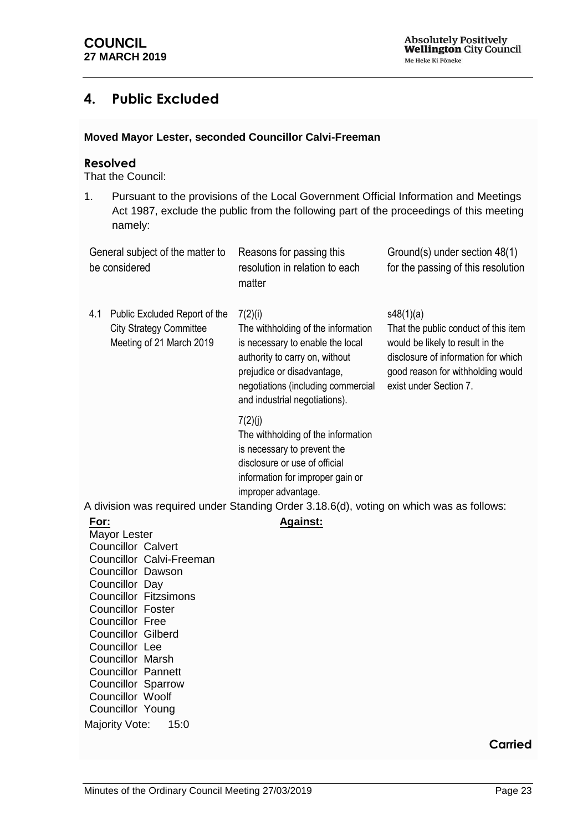# <span id="page-22-0"></span>**4. Public Excluded**

## **Moved Mayor Lester, seconded Councillor Calvi-Freeman**

## **Resolved**

That the Council:

1. Pursuant to the provisions of the Local Government Official Information and Meetings Act 1987, exclude the public from the following part of the proceedings of this meeting namely:

<span id="page-22-1"></span>

|      | General subject of the matter to<br>be considered                                           | Reasons for passing this<br>resolution in relation to each<br>matter                                                                                                                                                                                                | Ground(s) under section 48(1)<br>for the passing of this resolution                                                                                                                         |
|------|---------------------------------------------------------------------------------------------|---------------------------------------------------------------------------------------------------------------------------------------------------------------------------------------------------------------------------------------------------------------------|---------------------------------------------------------------------------------------------------------------------------------------------------------------------------------------------|
| 4.1  | Public Excluded Report of the<br><b>City Strategy Committee</b><br>Meeting of 21 March 2019 | 7(2)(i)<br>The withholding of the information<br>is necessary to enable the local<br>authority to carry on, without<br>prejudice or disadvantage,<br>negotiations (including commercial<br>and industrial negotiations).                                            | s48(1)(a)<br>That the public conduct of this item<br>would be likely to result in the<br>disclosure of information for which<br>good reason for withholding would<br>exist under Section 7. |
|      |                                                                                             | 7(2)(j)<br>The withholding of the information<br>is necessary to prevent the<br>disclosure or use of official<br>information for improper gain or<br>improper advantage.<br>A division was required under Standing Order 3.18.6(d), voting on which was as follows: |                                                                                                                                                                                             |
| For: |                                                                                             |                                                                                                                                                                                                                                                                     |                                                                                                                                                                                             |
|      | Mayor Lester                                                                                | <b>Against:</b>                                                                                                                                                                                                                                                     |                                                                                                                                                                                             |
|      | <b>Councillor Calvert</b>                                                                   |                                                                                                                                                                                                                                                                     |                                                                                                                                                                                             |
|      | Councillor Calvi-Freeman                                                                    |                                                                                                                                                                                                                                                                     |                                                                                                                                                                                             |
|      | <b>Councillor Dawson</b>                                                                    |                                                                                                                                                                                                                                                                     |                                                                                                                                                                                             |
|      | Councillor Day                                                                              |                                                                                                                                                                                                                                                                     |                                                                                                                                                                                             |
|      | <b>Councillor Fitzsimons</b>                                                                |                                                                                                                                                                                                                                                                     |                                                                                                                                                                                             |
|      | <b>Councillor Foster</b>                                                                    |                                                                                                                                                                                                                                                                     |                                                                                                                                                                                             |
|      | <b>Councillor Free</b>                                                                      |                                                                                                                                                                                                                                                                     |                                                                                                                                                                                             |
|      | <b>Councillor Gilberd</b><br>Councillor Lee                                                 |                                                                                                                                                                                                                                                                     |                                                                                                                                                                                             |
|      | <b>Councillor Marsh</b>                                                                     |                                                                                                                                                                                                                                                                     |                                                                                                                                                                                             |
|      | <b>Councillor Pannett</b>                                                                   |                                                                                                                                                                                                                                                                     |                                                                                                                                                                                             |
|      | <b>Councillor Sparrow</b>                                                                   |                                                                                                                                                                                                                                                                     |                                                                                                                                                                                             |
|      | Councillor Woolf                                                                            |                                                                                                                                                                                                                                                                     |                                                                                                                                                                                             |
|      | Councillor Young                                                                            |                                                                                                                                                                                                                                                                     |                                                                                                                                                                                             |
|      | Majority Vote:<br>15:0                                                                      |                                                                                                                                                                                                                                                                     |                                                                                                                                                                                             |

# **Carried**